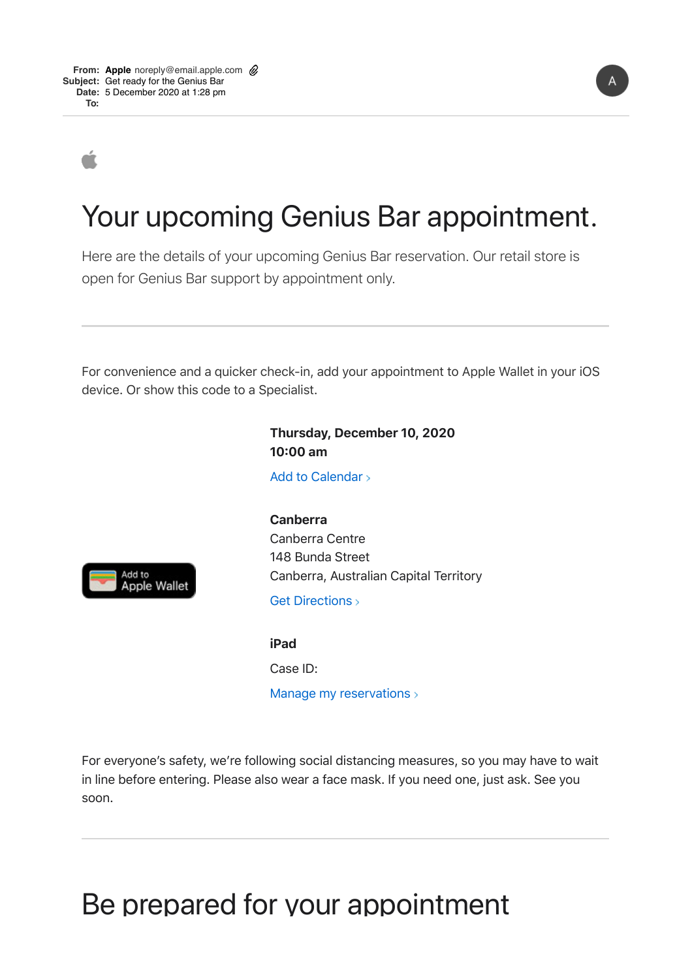## Your upcoming Genius Bar appointment.

Here are the details of your upcoming Genius Bar reservation. Our retail store is open for Genius Bar support by appointment only.

For convenience and a quicker check-in, add your appointment to Apple Wallet in your iOS device. Or show this code to a Specialist.

> Add to Calendar **Thursday, December 10, 2020 10300 am**



 Canberra, Australian Capital Territory **Canberra**  Canberra Centre 148 Bunda Street

Get Directions >

**iPad**  Case ID:

Manage my reservations >

For everyone's safety, we're following social distancing measures, so you may have to wait in line before entering. Please also wear a face mask. If you need one, just ask. See you soon.

## Be prepared for your appointment